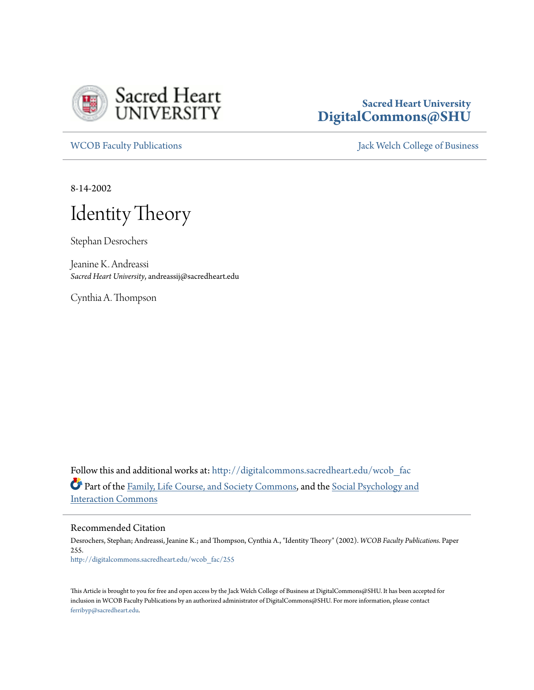

## **Sacred Heart University [DigitalCommons@SHU](http://digitalcommons.sacredheart.edu?utm_source=digitalcommons.sacredheart.edu%2Fwcob_fac%2F255&utm_medium=PDF&utm_campaign=PDFCoverPages)**

[WCOB Faculty Publications](http://digitalcommons.sacredheart.edu/wcob_fac?utm_source=digitalcommons.sacredheart.edu%2Fwcob_fac%2F255&utm_medium=PDF&utm_campaign=PDFCoverPages) **MECOB** Faculty Publications **Accord Publications** [Jack Welch College of Business](http://digitalcommons.sacredheart.edu/wcob?utm_source=digitalcommons.sacredheart.edu%2Fwcob_fac%2F255&utm_medium=PDF&utm_campaign=PDFCoverPages)

8-14-2002

# Identity Theory

Stephan Desrochers

Jeanine K. Andreassi *Sacred Heart University*, andreassij@sacredheart.edu

Cynthia A. Thompson

Follow this and additional works at: [http://digitalcommons.sacredheart.edu/wcob\\_fac](http://digitalcommons.sacredheart.edu/wcob_fac?utm_source=digitalcommons.sacredheart.edu%2Fwcob_fac%2F255&utm_medium=PDF&utm_campaign=PDFCoverPages) Part of the [Family, Life Course, and Society Commons](http://network.bepress.com/hgg/discipline/419?utm_source=digitalcommons.sacredheart.edu%2Fwcob_fac%2F255&utm_medium=PDF&utm_campaign=PDFCoverPages), and the [Social Psychology and](http://network.bepress.com/hgg/discipline/430?utm_source=digitalcommons.sacredheart.edu%2Fwcob_fac%2F255&utm_medium=PDF&utm_campaign=PDFCoverPages) [Interaction Commons](http://network.bepress.com/hgg/discipline/430?utm_source=digitalcommons.sacredheart.edu%2Fwcob_fac%2F255&utm_medium=PDF&utm_campaign=PDFCoverPages)

Recommended Citation

Desrochers, Stephan; Andreassi, Jeanine K.; and Thompson, Cynthia A., "Identity Theory" (2002). *WCOB Faculty Publications.* Paper 255. [http://digitalcommons.sacredheart.edu/wcob\\_fac/255](http://digitalcommons.sacredheart.edu/wcob_fac/255?utm_source=digitalcommons.sacredheart.edu%2Fwcob_fac%2F255&utm_medium=PDF&utm_campaign=PDFCoverPages)

This Article is brought to you for free and open access by the Jack Welch College of Business at DigitalCommons@SHU. It has been accepted for inclusion in WCOB Faculty Publications by an authorized administrator of DigitalCommons@SHU. For more information, please contact [ferribyp@sacredheart.edu](mailto:ferribyp@sacredheart.edu).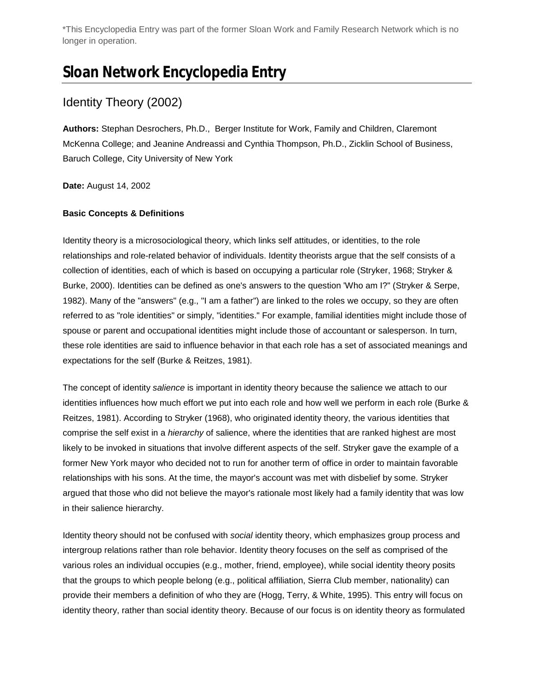\*This Encyclopedia Entry was part of the former Sloan Work and Family Research Network which is no longer in operation.

## **Sloan Network Encyclopedia Entry**

## Identity Theory (2002)

**Authors:** Stephan Desrochers, Ph.D., Berger Institute for Work, Family and Children, Claremont McKenna College; and Jeanine Andreassi and Cynthia Thompson, Ph.D., Zicklin School of Business, Baruch College, City University of New York

**Date:** August 14, 2002

#### **Basic Concepts & Definitions**

Identity theory is a microsociological theory, which links self attitudes, or identities, to the role relationships and role-related behavior of individuals. Identity theorists argue that the self consists of a collection of identities, each of which is based on occupying a particular role (Stryker, 1968; Stryker & Burke, 2000). Identities can be defined as one's answers to the question 'Who am I?" (Stryker & Serpe, 1982). Many of the "answers" (e.g., "I am a father") are linked to the roles we occupy, so they are often referred to as "role identities" or simply, "identities." For example, familial identities might include those of spouse or parent and occupational identities might include those of accountant or salesperson. In turn, these role identities are said to influence behavior in that each role has a set of associated meanings and expectations for the self (Burke & Reitzes, 1981).

The concept of identity *salience* is important in identity theory because the salience we attach to our identities influences how much effort we put into each role and how well we perform in each role (Burke & Reitzes, 1981). According to Stryker (1968), who originated identity theory, the various identities that comprise the self exist in a *hierarchy* of salience, where the identities that are ranked highest are most likely to be invoked in situations that involve different aspects of the self. Stryker gave the example of a former New York mayor who decided not to run for another term of office in order to maintain favorable relationships with his sons. At the time, the mayor's account was met with disbelief by some. Stryker argued that those who did not believe the mayor's rationale most likely had a family identity that was low in their salience hierarchy.

Identity theory should not be confused with *social* identity theory, which emphasizes group process and intergroup relations rather than role behavior. Identity theory focuses on the self as comprised of the various roles an individual occupies (e.g., mother, friend, employee), while social identity theory posits that the groups to which people belong (e.g., political affiliation, Sierra Club member, nationality) can provide their members a definition of who they are (Hogg, Terry, & White, 1995). This entry will focus on identity theory, rather than social identity theory. Because of our focus is on identity theory as formulated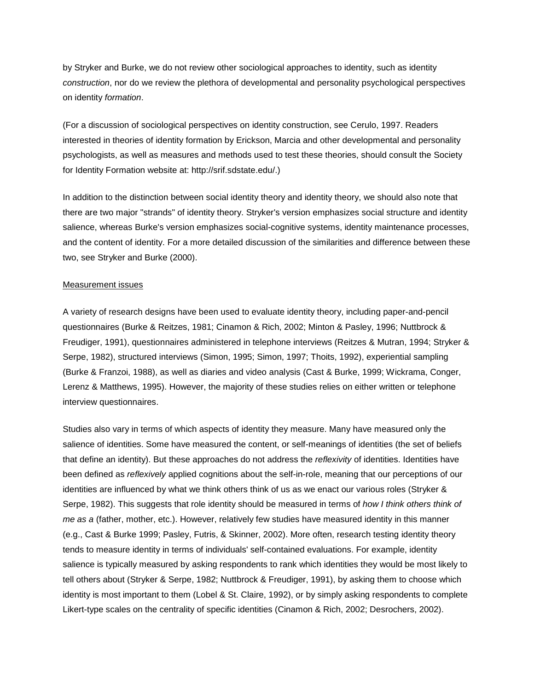by Stryker and Burke, we do not review other sociological approaches to identity, such as identity *construction*, nor do we review the plethora of developmental and personality psychological perspectives on identity *formation*.

(For a discussion of sociological perspectives on identity construction, see Cerulo, 1997. Readers interested in theories of identity formation by Erickson, Marcia and other developmental and personality psychologists, as well as measures and methods used to test these theories, should consult the Society for Identity Formation website at: http://srif.sdstate.edu/.)

In addition to the distinction between social identity theory and identity theory, we should also note that there are two major "strands" of identity theory. Stryker's version emphasizes social structure and identity salience, whereas Burke's version emphasizes social-cognitive systems, identity maintenance processes, and the content of identity. For a more detailed discussion of the similarities and difference between these two, see Stryker and Burke (2000).

#### Measurement issues

A variety of research designs have been used to evaluate identity theory, including paper-and-pencil questionnaires (Burke & Reitzes, 1981; Cinamon & Rich, 2002; Minton & Pasley, 1996; Nuttbrock & Freudiger, 1991), questionnaires administered in telephone interviews (Reitzes & Mutran, 1994; Stryker & Serpe, 1982), structured interviews (Simon, 1995; Simon, 1997; Thoits, 1992), experiential sampling (Burke & Franzoi, 1988), as well as diaries and video analysis (Cast & Burke, 1999; Wickrama, Conger, Lerenz & Matthews, 1995). However, the majority of these studies relies on either written or telephone interview questionnaires.

Studies also vary in terms of which aspects of identity they measure. Many have measured only the salience of identities. Some have measured the content, or self-meanings of identities (the set of beliefs that define an identity). But these approaches do not address the *reflexivity* of identities. Identities have been defined as *reflexively* applied cognitions about the self-in-role, meaning that our perceptions of our identities are influenced by what we think others think of us as we enact our various roles (Stryker & Serpe, 1982). This suggests that role identity should be measured in terms of *how I think others think of me as a* (father, mother, etc.). However, relatively few studies have measured identity in this manner (e.g., Cast & Burke 1999; Pasley, Futris, & Skinner, 2002). More often, research testing identity theory tends to measure identity in terms of individuals' self-contained evaluations. For example, identity salience is typically measured by asking respondents to rank which identities they would be most likely to tell others about (Stryker & Serpe, 1982; Nuttbrock & Freudiger, 1991), by asking them to choose which identity is most important to them (Lobel & St. Claire, 1992), or by simply asking respondents to complete Likert-type scales on the centrality of specific identities (Cinamon & Rich, 2002; Desrochers, 2002).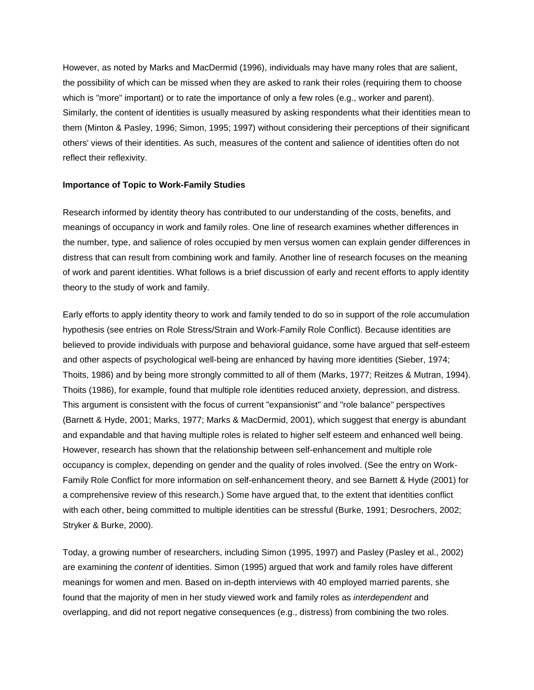However, as noted by Marks and MacDermid (1996), individuals may have many roles that are salient, the possibility of which can be missed when they are asked to rank their roles (requiring them to choose which is "more" important) or to rate the importance of only a few roles (e.g., worker and parent). Similarly, the content of identities is usually measured by asking respondents what their identities mean to them (Minton & Pasley, 1996; Simon, 1995; 1997) without considering their perceptions of their significant others' views of their identities. As such, measures of the content and salience of identities often do not reflect their reflexivity.

#### **Importance of Topic to Work-Family Studies**

Research informed by identity theory has contributed to our understanding of the costs, benefits, and meanings of occupancy in work and family roles. One line of research examines whether differences in the number, type, and salience of roles occupied by men versus women can explain gender differences in distress that can result from combining work and family. Another line of research focuses on the meaning of work and parent identities. What follows is a brief discussion of early and recent efforts to apply identity theory to the study of work and family.

Early efforts to apply identity theory to work and family tended to do so in support of the role accumulation hypothesis (see entries on Role Stress/Strain and Work-Family Role Conflict). Because identities are believed to provide individuals with purpose and behavioral guidance, some have argued that self-esteem and other aspects of psychological well-being are enhanced by having more identities (Sieber, 1974; Thoits, 1986) and by being more strongly committed to all of them (Marks, 1977; Reitzes & Mutran, 1994). Thoits (1986), for example, found that multiple role identities reduced anxiety, depression, and distress. This argument is consistent with the focus of current "expansionist" and "role balance" perspectives (Barnett & Hyde, 2001; Marks, 1977; Marks & MacDermid, 2001), which suggest that energy is abundant and expandable and that having multiple roles is related to higher self esteem and enhanced well being. However, research has shown that the relationship between self-enhancement and multiple role occupancy is complex, depending on gender and the quality of roles involved. (See the entry on Work-Family Role Conflict for more information on self-enhancement theory, and see Barnett & Hyde (2001) for a comprehensive review of this research.) Some have argued that, to the extent that identities conflict with each other, being committed to multiple identities can be stressful (Burke, 1991; Desrochers, 2002; Stryker & Burke, 2000).

Today, a growing number of researchers, including Simon (1995, 1997) and Pasley (Pasley et al., 2002) are examining the *content* of identities. Simon (1995) argued that work and family roles have different meanings for women and men. Based on in-depth interviews with 40 employed married parents, she found that the majority of men in her study viewed work and family roles as *interdependent* and overlapping, and did not report negative consequences (e.g., distress) from combining the two roles.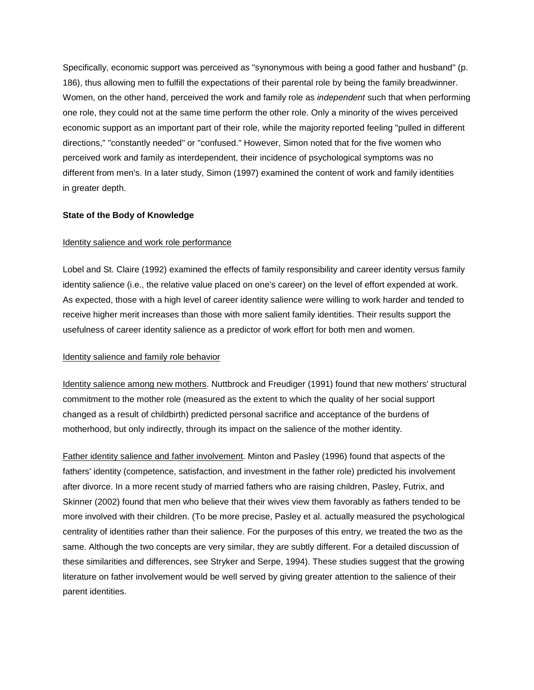Specifically, economic support was perceived as "synonymous with being a good father and husband" (p. 186), thus allowing men to fulfill the expectations of their parental role by being the family breadwinner. Women, on the other hand, perceived the work and family role as *independent* such that when performing one role, they could not at the same time perform the other role. Only a minority of the wives perceived economic support as an important part of their role, while the majority reported feeling "pulled in different directions," "constantly needed" or "confused." However, Simon noted that for the five women who perceived work and family as interdependent, their incidence of psychological symptoms was no different from men's. In a later study, Simon (1997) examined the content of work and family identities in greater depth.

#### **State of the Body of Knowledge**

#### Identity salience and work role performance

Lobel and St. Claire (1992) examined the effects of family responsibility and career identity versus family identity salience (i.e., the relative value placed on one's career) on the level of effort expended at work. As expected, those with a high level of career identity salience were willing to work harder and tended to receive higher merit increases than those with more salient family identities. Their results support the usefulness of career identity salience as a predictor of work effort for both men and women.

#### Identity salience and family role behavior

Identity salience among new mothers. Nuttbrock and Freudiger (1991) found that new mothers' structural commitment to the mother role (measured as the extent to which the quality of her social support changed as a result of childbirth) predicted personal sacrifice and acceptance of the burdens of motherhood, but only indirectly, through its impact on the salience of the mother identity.

Father identity salience and father involvement. Minton and Pasley (1996) found that aspects of the fathers' identity (competence, satisfaction, and investment in the father role) predicted his involvement after divorce. In a more recent study of married fathers who are raising children, Pasley, Futrix, and Skinner (2002) found that men who believe that their wives view them favorably as fathers tended to be more involved with their children. (To be more precise, Pasley et al. actually measured the psychological centrality of identities rather than their salience. For the purposes of this entry, we treated the two as the same. Although the two concepts are very similar, they are subtly different. For a detailed discussion of these similarities and differences, see Stryker and Serpe, 1994). These studies suggest that the growing literature on father involvement would be well served by giving greater attention to the salience of their parent identities.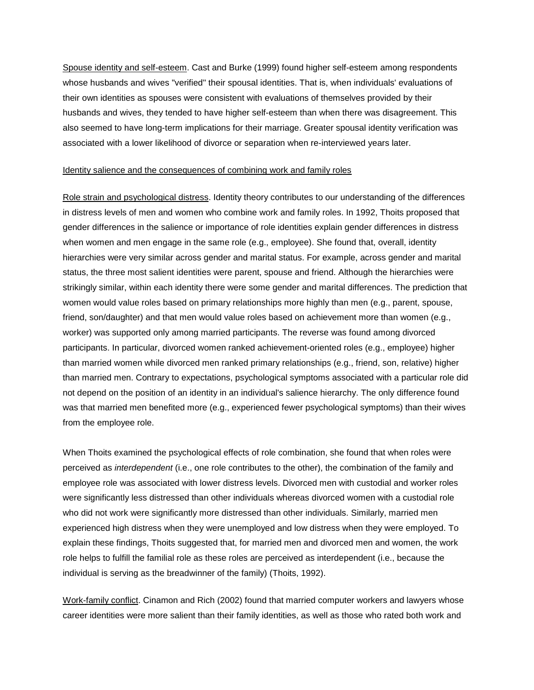Spouse identity and self-esteem. Cast and Burke (1999) found higher self-esteem among respondents whose husbands and wives "verified" their spousal identities. That is, when individuals' evaluations of their own identities as spouses were consistent with evaluations of themselves provided by their husbands and wives, they tended to have higher self-esteem than when there was disagreement. This also seemed to have long-term implications for their marriage. Greater spousal identity verification was associated with a lower likelihood of divorce or separation when re-interviewed years later.

#### Identity salience and the consequences of combining work and family roles

Role strain and psychological distress. Identity theory contributes to our understanding of the differences in distress levels of men and women who combine work and family roles. In 1992, Thoits proposed that gender differences in the salience or importance of role identities explain gender differences in distress when women and men engage in the same role (e.g., employee). She found that, overall, identity hierarchies were very similar across gender and marital status. For example, across gender and marital status, the three most salient identities were parent, spouse and friend. Although the hierarchies were strikingly similar, within each identity there were some gender and marital differences. The prediction that women would value roles based on primary relationships more highly than men (e.g., parent, spouse, friend, son/daughter) and that men would value roles based on achievement more than women (e.g., worker) was supported only among married participants. The reverse was found among divorced participants. In particular, divorced women ranked achievement-oriented roles (e.g., employee) higher than married women while divorced men ranked primary relationships (e.g., friend, son, relative) higher than married men. Contrary to expectations, psychological symptoms associated with a particular role did not depend on the position of an identity in an individual's salience hierarchy. The only difference found was that married men benefited more (e.g., experienced fewer psychological symptoms) than their wives from the employee role.

When Thoits examined the psychological effects of role combination, she found that when roles were perceived as *interdependent* (i.e., one role contributes to the other), the combination of the family and employee role was associated with lower distress levels. Divorced men with custodial and worker roles were significantly less distressed than other individuals whereas divorced women with a custodial role who did not work were significantly more distressed than other individuals. Similarly, married men experienced high distress when they were unemployed and low distress when they were employed. To explain these findings, Thoits suggested that, for married men and divorced men and women, the work role helps to fulfill the familial role as these roles are perceived as interdependent (i.e., because the individual is serving as the breadwinner of the family) (Thoits, 1992).

Work-family conflict. Cinamon and Rich (2002) found that married computer workers and lawyers whose career identities were more salient than their family identities, as well as those who rated both work and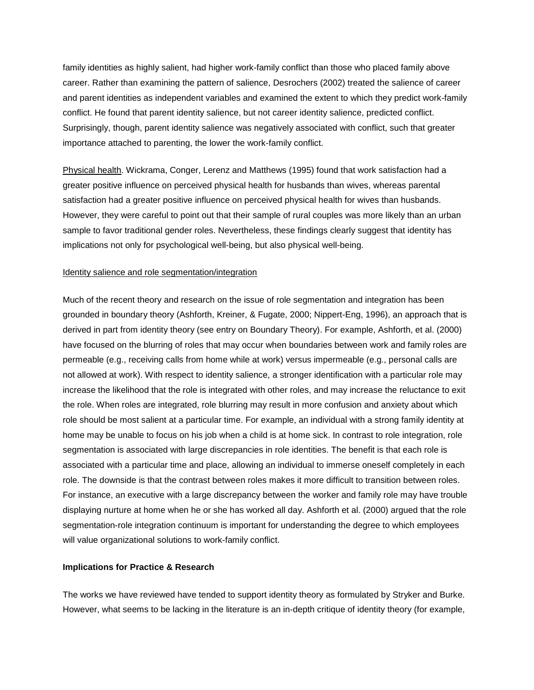family identities as highly salient, had higher work-family conflict than those who placed family above career. Rather than examining the pattern of salience, Desrochers (2002) treated the salience of career and parent identities as independent variables and examined the extent to which they predict work-family conflict. He found that parent identity salience, but not career identity salience, predicted conflict. Surprisingly, though, parent identity salience was negatively associated with conflict, such that greater importance attached to parenting, the lower the work-family conflict.

Physical health. Wickrama, Conger, Lerenz and Matthews (1995) found that work satisfaction had a greater positive influence on perceived physical health for husbands than wives, whereas parental satisfaction had a greater positive influence on perceived physical health for wives than husbands. However, they were careful to point out that their sample of rural couples was more likely than an urban sample to favor traditional gender roles. Nevertheless, these findings clearly suggest that identity has implications not only for psychological well-being, but also physical well-being.

#### Identity salience and role segmentation/integration

Much of the recent theory and research on the issue of role segmentation and integration has been grounded in boundary theory (Ashforth, Kreiner, & Fugate, 2000; Nippert-Eng, 1996), an approach that is derived in part from identity theory (see entry on Boundary Theory). For example, Ashforth, et al. (2000) have focused on the blurring of roles that may occur when boundaries between work and family roles are permeable (e.g., receiving calls from home while at work) versus impermeable (e.g., personal calls are not allowed at work). With respect to identity salience, a stronger identification with a particular role may increase the likelihood that the role is integrated with other roles, and may increase the reluctance to exit the role. When roles are integrated, role blurring may result in more confusion and anxiety about which role should be most salient at a particular time. For example, an individual with a strong family identity at home may be unable to focus on his job when a child is at home sick. In contrast to role integration, role segmentation is associated with large discrepancies in role identities. The benefit is that each role is associated with a particular time and place, allowing an individual to immerse oneself completely in each role. The downside is that the contrast between roles makes it more difficult to transition between roles. For instance, an executive with a large discrepancy between the worker and family role may have trouble displaying nurture at home when he or she has worked all day. Ashforth et al. (2000) argued that the role segmentation-role integration continuum is important for understanding the degree to which employees will value organizational solutions to work-family conflict.

#### **Implications for Practice & Research**

The works we have reviewed have tended to support identity theory as formulated by Stryker and Burke. However, what seems to be lacking in the literature is an in-depth critique of identity theory (for example,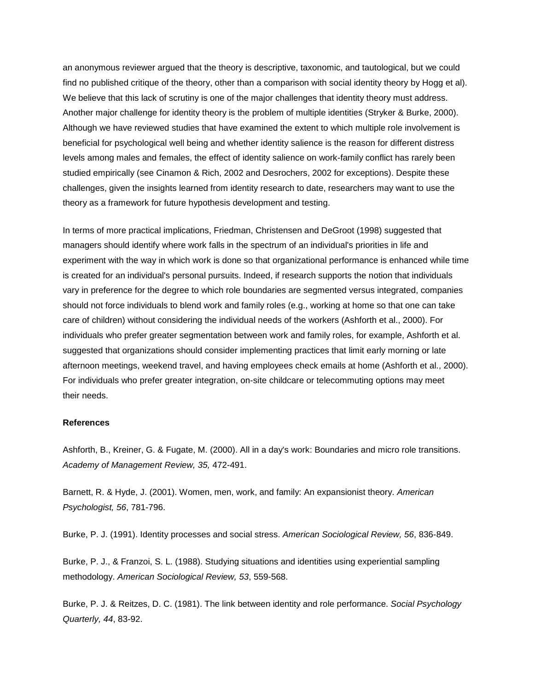an anonymous reviewer argued that the theory is descriptive, taxonomic, and tautological, but we could find no published critique of the theory, other than a comparison with social identity theory by Hogg et al). We believe that this lack of scrutiny is one of the major challenges that identity theory must address. Another major challenge for identity theory is the problem of multiple identities (Stryker & Burke, 2000). Although we have reviewed studies that have examined the extent to which multiple role involvement is beneficial for psychological well being and whether identity salience is the reason for different distress levels among males and females, the effect of identity salience on work-family conflict has rarely been studied empirically (see Cinamon & Rich, 2002 and Desrochers, 2002 for exceptions). Despite these challenges, given the insights learned from identity research to date, researchers may want to use the theory as a framework for future hypothesis development and testing.

In terms of more practical implications, Friedman, Christensen and DeGroot (1998) suggested that managers should identify where work falls in the spectrum of an individual's priorities in life and experiment with the way in which work is done so that organizational performance is enhanced while time is created for an individual's personal pursuits. Indeed, if research supports the notion that individuals vary in preference for the degree to which role boundaries are segmented versus integrated, companies should not force individuals to blend work and family roles (e.g., working at home so that one can take care of children) without considering the individual needs of the workers (Ashforth et al., 2000). For individuals who prefer greater segmentation between work and family roles, for example, Ashforth et al. suggested that organizations should consider implementing practices that limit early morning or late afternoon meetings, weekend travel, and having employees check emails at home (Ashforth et al., 2000). For individuals who prefer greater integration, on-site childcare or telecommuting options may meet their needs.

#### **References**

Ashforth, B., Kreiner, G. & Fugate, M. (2000). All in a day's work: Boundaries and micro role transitions. *Academy of Management Review, 35,* 472-491.

Barnett, R. & Hyde, J. (2001). Women, men, work, and family: An expansionist theory. *American Psychologist, 56*, 781-796.

Burke, P. J. (1991). Identity processes and social stress. *American Sociological Review, 56*, 836-849.

Burke, P. J., & Franzoi, S. L. (1988). Studying situations and identities using experiential sampling methodology. *American Sociological Review, 53*, 559-568.

Burke, P. J. & Reitzes, D. C. (1981). The link between identity and role performance. *Social Psychology Quarterly, 44*, 83-92.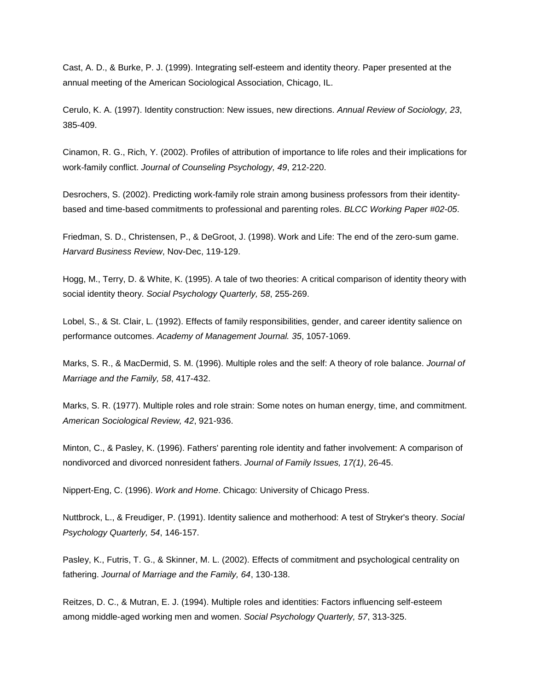Cast, A. D., & Burke, P. J. (1999). Integrating self-esteem and identity theory. Paper presented at the annual meeting of the American Sociological Association, Chicago, IL.

Cerulo, K. A. (1997). Identity construction: New issues, new directions. *Annual Review of Sociology, 23*, 385-409.

Cinamon, R. G., Rich, Y. (2002). Profiles of attribution of importance to life roles and their implications for work-family conflict. *Journal of Counseling Psychology, 49*, 212-220.

Desrochers, S. (2002). Predicting work-family role strain among business professors from their identitybased and time-based commitments to professional and parenting roles. *BLCC Working Paper #02-05*.

Friedman, S. D., Christensen, P., & DeGroot, J. (1998). Work and Life: The end of the zero-sum game. *Harvard Business Review*, Nov-Dec, 119-129.

Hogg, M., Terry, D. & White, K. (1995). A tale of two theories: A critical comparison of identity theory with social identity theory. *Social Psychology Quarterly, 58*, 255-269.

Lobel, S., & St. Clair, L. (1992). Effects of family responsibilities, gender, and career identity salience on performance outcomes. *Academy of Management Journal. 35*, 1057-1069.

Marks, S. R., & MacDermid, S. M. (1996). Multiple roles and the self: A theory of role balance. *Journal of Marriage and the Family, 58*, 417-432.

Marks, S. R. (1977). Multiple roles and role strain: Some notes on human energy, time, and commitment. *American Sociological Review, 42*, 921-936.

Minton, C., & Pasley, K. (1996). Fathers' parenting role identity and father involvement: A comparison of nondivorced and divorced nonresident fathers. *Journal of Family Issues, 17(1)*, 26-45.

Nippert-Eng, C. (1996). *Work and Home*. Chicago: University of Chicago Press.

Nuttbrock, L., & Freudiger, P. (1991). Identity salience and motherhood: A test of Stryker's theory. *Social Psychology Quarterly, 54*, 146-157.

Pasley, K., Futris, T. G., & Skinner, M. L. (2002). Effects of commitment and psychological centrality on fathering. *Journal of Marriage and the Family, 64*, 130-138.

Reitzes, D. C., & Mutran, E. J. (1994). Multiple roles and identities: Factors influencing self-esteem among middle-aged working men and women. *Social Psychology Quarterly, 57*, 313-325.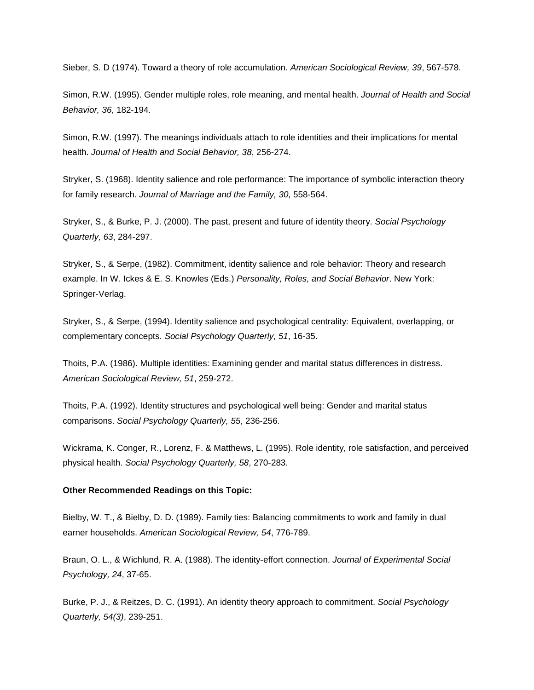Sieber, S. D (1974). Toward a theory of role accumulation. *American Sociological Review, 39*, 567-578.

Simon, R.W. (1995). Gender multiple roles, role meaning, and mental health. *Journal of Health and Social Behavior, 36*, 182-194.

Simon, R.W. (1997). The meanings individuals attach to role identities and their implications for mental health. *Journal of Health and Social Behavior, 38*, 256-274.

Stryker, S. (1968). Identity salience and role performance: The importance of symbolic interaction theory for family research. *Journal of Marriage and the Family, 30*, 558-564.

Stryker, S., & Burke, P. J. (2000). The past, present and future of identity theory. *Social Psychology Quarterly, 63*, 284-297.

Stryker, S., & Serpe, (1982). Commitment, identity salience and role behavior: Theory and research example. In W. Ickes & E. S. Knowles (Eds.) *Personality, Roles, and Social Behavior*. New York: Springer-Verlag.

Stryker, S., & Serpe, (1994). Identity salience and psychological centrality: Equivalent, overlapping, or complementary concepts. *Social Psychology Quarterly, 51*, 16-35.

Thoits, P.A. (1986). Multiple identities: Examining gender and marital status differences in distress. *American Sociological Review, 51*, 259-272.

Thoits, P.A. (1992). Identity structures and psychological well being: Gender and marital status comparisons. *Social Psychology Quarterly, 55*, 236-256.

Wickrama, K. Conger, R., Lorenz, F. & Matthews, L. (1995). Role identity, role satisfaction, and perceived physical health. *Social Psychology Quarterly, 58*, 270-283.

#### **Other Recommended Readings on this Topic:**

Bielby, W. T., & Bielby, D. D. (1989). Family ties: Balancing commitments to work and family in dual earner households. *American Sociological Review, 54*, 776-789.

Braun, O. L., & Wichlund, R. A. (1988). The identity-effort connection. *Journal of Experimental Social Psychology, 24*, 37-65.

Burke, P. J., & Reitzes, D. C. (1991). [An identity theory approach to commitment.](http://library.bc.edu/F?func=find-b&local_base=BCL_WF&find_code=SYS&request=000003888) *Social Psychology Quarterly, 54(3)*, 239-251.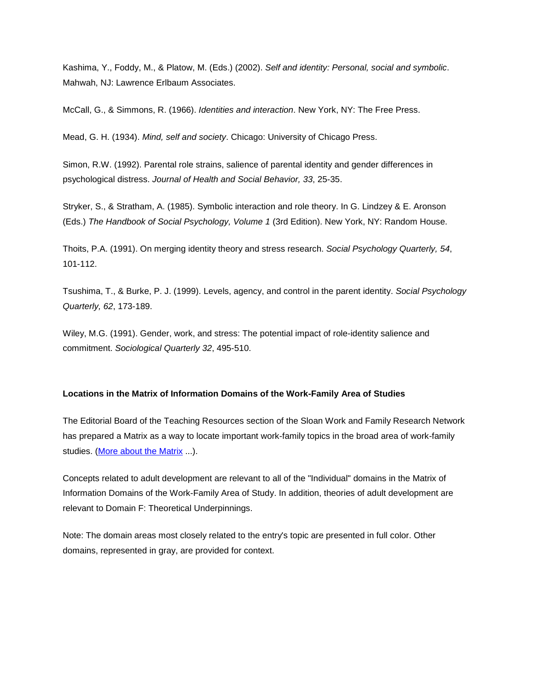Kashima, Y., Foddy, M., & Platow, M. (Eds.) (2002). *[Self and identity: Personal, social and symbolic](http://library.bc.edu/F?func=find-b&local_base=BCL_WF&find_code=SYS&request=000004475)*. Mahwah, NJ: Lawrence Erlbaum Associates.

McCall, G., & Simmons, R. (1966). *[Identities and interaction](http://library.bc.edu/F?func=find-b&local_base=BCL_WF&find_code=SYS&request=000004476)*. New York, NY: The Free Press.

Mead, G. H. (1934). *[Mind, self and society](http://library.bc.edu/F?func=find-b&local_base=BCL_WF&find_code=SYS&request=000003882)*. Chicago: University of Chicago Press.

Simon, R.W. (1992). [Parental role strains, salience of parental identity and gender differences in](http://library.bc.edu/F?func=find-b&local_base=BCL_WF&find_code=SYS&request=000003891)  [psychological distress.](http://library.bc.edu/F?func=find-b&local_base=BCL_WF&find_code=SYS&request=000003891) *Journal of Health and Social Behavior, 33*, 25-35.

Stryker, S., & Stratham, A. (1985). [Symbolic interaction and role theory.](http://library.bc.edu/F?func=find-b&local_base=BCL_WF&find_code=SYS&request=000003889) In G. Lindzey & E. Aronson (Eds.) *The Handbook of Social Psychology, Volume 1* (3rd Edition). New York, NY: Random House.

Thoits, P.A. (1991). On merging identity theory and stress research. *Social Psychology Quarterly, 54*, 101-112.

Tsushima, T., & Burke, P. J. (1999). Levels, agency, and control in the parent identity. *Social Psychology Quarterly, 62*, 173-189.

Wiley, M.G. (1991). Gender, work, and stress: The potential impact of role-identity salience and commitment. *Sociological Quarterly 32*, 495-510.

#### **Locations in the Matrix of Information Domains of the Work-Family Area of Studies**

The Editorial Board of the Teaching Resources section of the Sloan Work and Family Research Network has prepared a Matrix as a way to locate important work-family topics in the broad area of work-family studies. [\(More about the Matrix](#page-12-0) ...).

Concepts related to adult development are relevant to all of the "Individual" domains in the Matrix of Information Domains of the Work-Family Area of Study. In addition, theories of adult development are relevant to Domain F: Theoretical Underpinnings.

Note: The domain areas most closely related to the entry's topic are presented in full color. Other domains, represented in gray, are provided for context.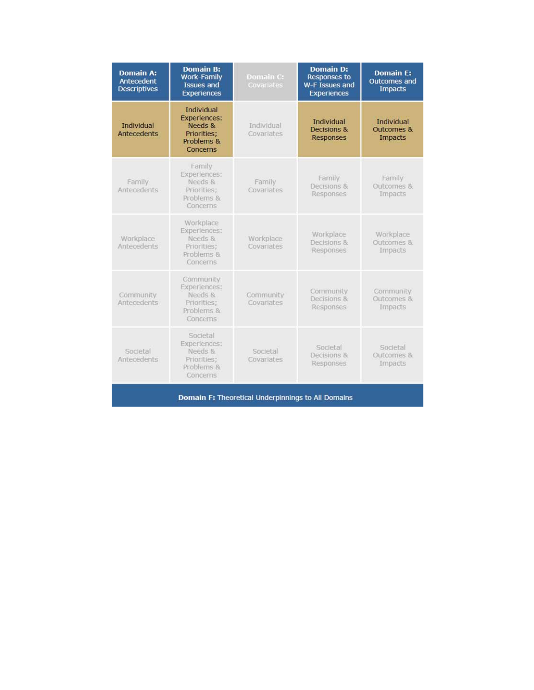| <b>Domain A:</b><br>Antecedent<br><b>Descriptives</b> | <b>Domain B:</b><br><b>Work-Family</b><br><b>Issues and</b><br><b>Experiences</b>            | Domain C:<br>Covariates  | <b>Domain D:</b><br><b>Responses to</b><br>W-F Issues and<br><b>Experiences</b> | <b>Domain E:</b><br><b>Outcomes and</b><br><b>Impacts</b> |  |
|-------------------------------------------------------|----------------------------------------------------------------------------------------------|--------------------------|---------------------------------------------------------------------------------|-----------------------------------------------------------|--|
| <b>Individual</b><br><b>Antecedents</b>               | <b>Individual</b><br><b>Experiences:</b><br>Needs &<br>Priorities:<br>Problems &<br>Concerns | Individual<br>Covariates | Individual<br>Decisions &<br>Responses                                          | <b>Individual</b><br><b>Outcomes &amp;</b><br>Impacts     |  |
| Family<br>Antecedents                                 | Family<br>Experiences:<br>Needs &<br>Priorities;<br>Problems &<br>Concerns                   | Family<br>Covariates     | Family<br>Decisions &<br>Responses                                              | Family<br>Outcomes &<br>Impacts                           |  |
| Workplace<br>Antecedents                              | Workplace<br>Experiences:<br>Needs &<br>Priorities:<br>Problems &<br>Concerns                | Workplace<br>Covariates  | Workplace<br>Decisions &<br>Responses                                           | Workplace<br>Outcomes &<br>Impacts                        |  |
| Community<br>Antecedents                              | Community<br>Experiences:<br>Needs &<br>Priorities:<br>Problems &<br>Concerns                | Community<br>Covariates  | Community<br>Decisions &<br>Responses                                           | Community<br>Outcomes &<br>Impacts                        |  |
| Societal<br>Antecedents                               | Societal<br>Experiences:<br>Needs &<br>Priorities:<br>Problems &<br>Concerns                 | Societal<br>Covariates   | Societal<br>Decisions &<br>Responses                                            | Societal<br>Outcomes &<br><b>Impacts</b>                  |  |
| Domain F: Theoretical Underpinnings to All Domains    |                                                                                              |                          |                                                                                 |                                                           |  |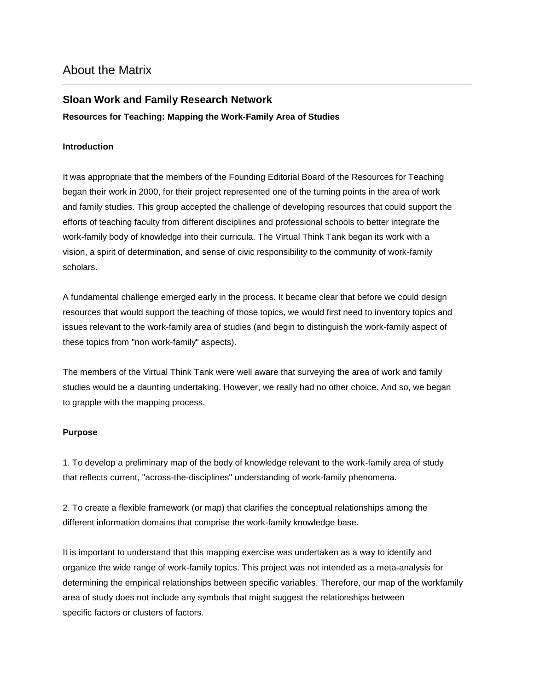## <span id="page-12-0"></span>**Sloan Work and Family Research Network**

#### **Resources for Teaching: Mapping the Work-Family Area of Studies**

#### **Introduction**

It was appropriate that the members of the Founding Editorial Board of the Resources for Teaching began their work in 2000, for their project represented one of the turning points in the area of work and family studies. This group accepted the challenge of developing resources that could support the efforts of teaching faculty from different disciplines and professional schools to better integrate the work-family body of knowledge into their curricula. The Virtual Think Tank began its work with a vision, a spirit of determination, and sense of civic responsibility to the community of work-family scholars.

A fundamental challenge emerged early in the process. It became clear that before we could design resources that would support the teaching of those topics, we would first need to inventory topics and issues relevant to the work-family area of studies (and begin to distinguish the work-family aspect of these topics from "non work-family" aspects).

The members of the Virtual Think Tank were well aware that surveying the area of work and family studies would be a daunting undertaking. However, we really had no other choice. And so, we began to grapple with the mapping process.

#### **Purpose**

1. To develop a preliminary map of the body of knowledge relevant to the work-family area of study that reflects current, "across-the-disciplines" understanding of work-family phenomena.

2. To create a flexible framework (or map) that clarifies the conceptual relationships among the different information domains that comprise the work-family knowledge base.

It is important to understand that this mapping exercise was undertaken as a way to identify and organize the wide range of work-family topics. This project was not intended as a meta-analysis for determining the empirical relationships between specific variables. Therefore, our map of the workfamily area of study does not include any symbols that might suggest the relationships between specific factors or clusters of factors.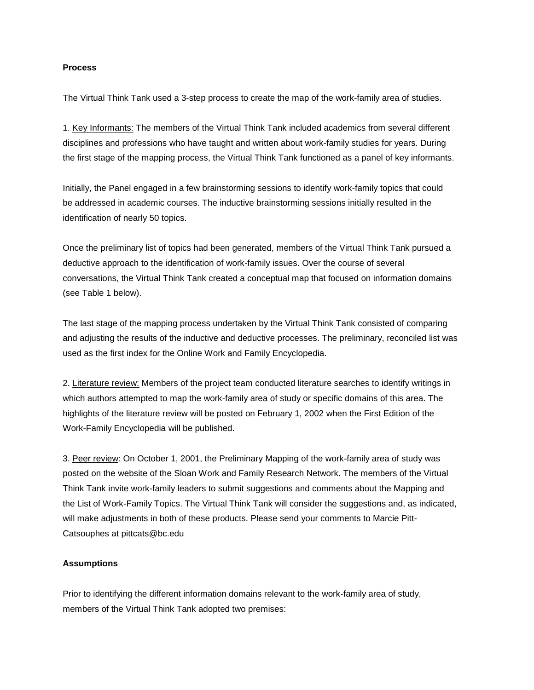#### **Process**

The Virtual Think Tank used a 3-step process to create the map of the work-family area of studies.

1. Key Informants: The members of the Virtual Think Tank included academics from several different disciplines and professions who have taught and written about work-family studies for years. During the first stage of the mapping process, the Virtual Think Tank functioned as a panel of key informants.

Initially, the Panel engaged in a few brainstorming sessions to identify work-family topics that could be addressed in academic courses. The inductive brainstorming sessions initially resulted in the identification of nearly 50 topics.

Once the preliminary list of topics had been generated, members of the Virtual Think Tank pursued a deductive approach to the identification of work-family issues. Over the course of several conversations, the Virtual Think Tank created a conceptual map that focused on information domains (see Table 1 below).

The last stage of the mapping process undertaken by the Virtual Think Tank consisted of comparing and adjusting the results of the inductive and deductive processes. The preliminary, reconciled list was used as the first index for the Online Work and Family Encyclopedia.

2. Literature review: Members of the project team conducted literature searches to identify writings in which authors attempted to map the work-family area of study or specific domains of this area. The highlights of the literature review will be posted on February 1, 2002 when the First Edition of the Work-Family Encyclopedia will be published.

3. Peer review: On October 1, 2001, the Preliminary Mapping of the work-family area of study was posted on the website of the Sloan Work and Family Research Network. The members of the Virtual Think Tank invite work-family leaders to submit suggestions and comments about the Mapping and the List of Work-Family Topics. The Virtual Think Tank will consider the suggestions and, as indicated, will make adjustments in both of these products. Please send your comments to Marcie Pitt-Catsouphes at pittcats@bc.edu

#### **Assumptions**

Prior to identifying the different information domains relevant to the work-family area of study, members of the Virtual Think Tank adopted two premises: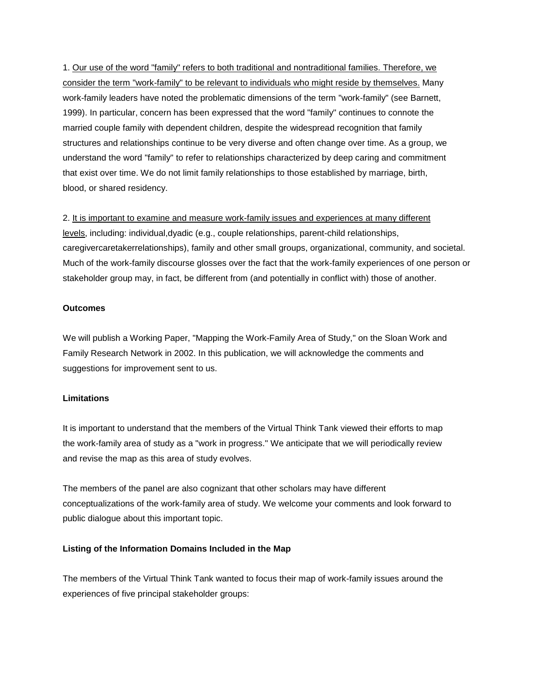1. Our use of the word "family" refers to both traditional and nontraditional families. Therefore, we consider the term "work-family" to be relevant to individuals who might reside by themselves. Many work-family leaders have noted the problematic dimensions of the term "work-family" (see Barnett, 1999). In particular, concern has been expressed that the word "family" continues to connote the married couple family with dependent children, despite the widespread recognition that family structures and relationships continue to be very diverse and often change over time. As a group, we understand the word "family" to refer to relationships characterized by deep caring and commitment that exist over time. We do not limit family relationships to those established by marriage, birth, blood, or shared residency.

2. It is important to examine and measure work-family issues and experiences at many different levels, including: individual,dyadic (e.g., couple relationships, parent-child relationships, caregivercaretakerrelationships), family and other small groups, organizational, community, and societal. Much of the work-family discourse glosses over the fact that the work-family experiences of one person or stakeholder group may, in fact, be different from (and potentially in conflict with) those of another.

#### **Outcomes**

We will publish a Working Paper, "Mapping the Work-Family Area of Study," on the Sloan Work and Family Research Network in 2002. In this publication, we will acknowledge the comments and suggestions for improvement sent to us.

#### **Limitations**

It is important to understand that the members of the Virtual Think Tank viewed their efforts to map the work-family area of study as a "work in progress." We anticipate that we will periodically review and revise the map as this area of study evolves.

The members of the panel are also cognizant that other scholars may have different conceptualizations of the work-family area of study. We welcome your comments and look forward to public dialogue about this important topic.

#### **Listing of the Information Domains Included in the Map**

The members of the Virtual Think Tank wanted to focus their map of work-family issues around the experiences of five principal stakeholder groups: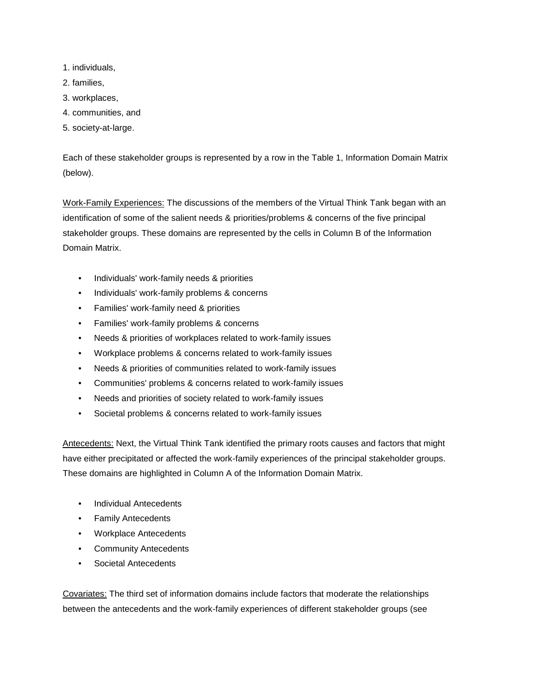- 1. individuals,
- 2. families,
- 3. workplaces,
- 4. communities, and
- 5. society-at-large.

Each of these stakeholder groups is represented by a row in the Table 1, Information Domain Matrix (below).

Work-Family Experiences: The discussions of the members of the Virtual Think Tank began with an identification of some of the salient needs & priorities/problems & concerns of the five principal stakeholder groups. These domains are represented by the cells in Column B of the Information Domain Matrix.

- Individuals' work-family needs & priorities
- Individuals' work-family problems & concerns
- Families' work-family need & priorities
- Families' work-family problems & concerns
- Needs & priorities of workplaces related to work-family issues
- Workplace problems & concerns related to work-family issues
- Needs & priorities of communities related to work-family issues
- Communities' problems & concerns related to work-family issues
- Needs and priorities of society related to work-family issues
- Societal problems & concerns related to work-family issues

Antecedents: Next, the Virtual Think Tank identified the primary roots causes and factors that might have either precipitated or affected the work-family experiences of the principal stakeholder groups. These domains are highlighted in Column A of the Information Domain Matrix.

- Individual Antecedents
- Family Antecedents
- Workplace Antecedents
- Community Antecedents
- Societal Antecedents

Covariates: The third set of information domains include factors that moderate the relationships between the antecedents and the work-family experiences of different stakeholder groups (see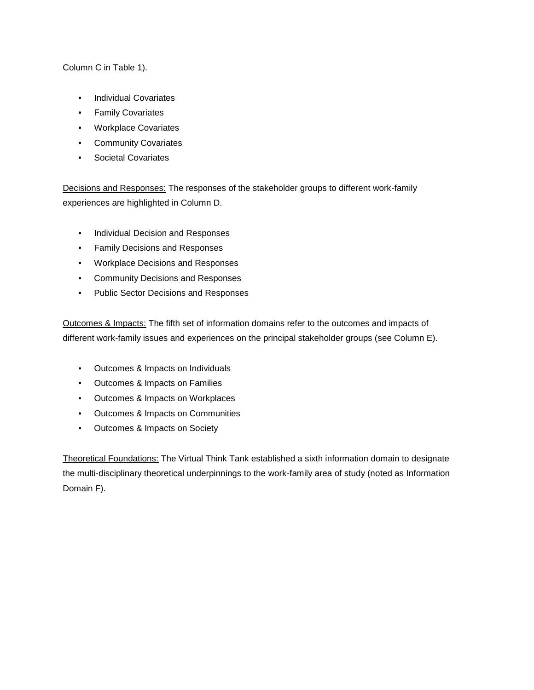Column C in Table 1).

- Individual Covariates
- Family Covariates
- Workplace Covariates
- Community Covariates
- Societal Covariates

Decisions and Responses: The responses of the stakeholder groups to different work-family experiences are highlighted in Column D.

- Individual Decision and Responses
- Family Decisions and Responses
- Workplace Decisions and Responses
- Community Decisions and Responses
- Public Sector Decisions and Responses

Outcomes & Impacts: The fifth set of information domains refer to the outcomes and impacts of different work-family issues and experiences on the principal stakeholder groups (see Column E).

- Outcomes & Impacts on Individuals
- Outcomes & Impacts on Families
- Outcomes & Impacts on Workplaces
- Outcomes & Impacts on Communities
- Outcomes & Impacts on Society

Theoretical Foundations: The Virtual Think Tank established a sixth information domain to designate the multi-disciplinary theoretical underpinnings to the work-family area of study (noted as Information Domain F).